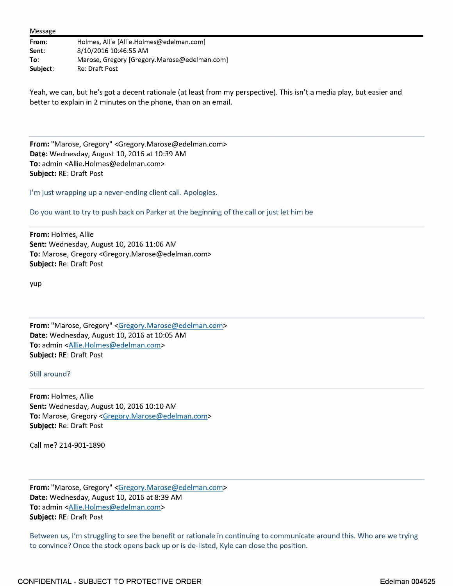|  |  | Message |
|--|--|---------|
|--|--|---------|

| From:    | Holmes, Allie [Allie.Holmes@edelman.com]     |
|----------|----------------------------------------------|
| Sent:    | 8/10/2016 10:46:55 AM                        |
| To:      | Marose, Gregory [Gregory.Marose@edelman.com] |
| Subject: | Re: Draft Post                               |

Yeah, we can, but he's got a decent rationale (at least from my perspective). This isn't a media play, but easier and better to explain in 2 minutes on the phone, than on an email.

**From:** "Marose, Gregory" <Gregory.Marose@edelman.com> **Date:** Wednesday, August 10, 2016 at 10:39 AM **To:** admin <Allie.Holmes@edelman.com> **Subject:** RE: Draft Post

I'm just wrapping up a never-ending client call. Apologies.

Do you want to try to push back on Parker at the beginning of the call or just let him be

**From:** Holmes, Allie **Sent:** Wednesday, August 10, 2016 11:06 AM **To:** Marose, Gregory <Gregory.Marose@edelman.com> **Subject:** Re: Draft Post

yup

**From:** "Marose, Gregory" <Gregory.Marose@edelman.com> **Date:** Wednesday, August 10, 2016 at 10:05 AM **To:** admin <Allie.Holmes@edelman.com > **Subject:** RE: Draft Post

Still around?

**From:** Holmes, Allie **Sent:** Wednesday, August 10, 2016 10:10 AM **To:** Marose, Gregory <Gregory.Marose@edelman.com > **Subject:** Re: Draft Post

Call me? 214-901-1890

**From:** "Marose, Gregory" <Gregory.Marose@edelman.com> **Date:** Wednesday, August 10, 2016 at 8:39 AM To: admin <Allie.Holmes@edelman.com> **Subject:** RE: Draft Post

Between us, I'm struggling to see the benefit or rationale in continuing to communicate around this. Who are we trying to convince? Once the stock opens back up or is de-listed, Kyle can close the position.